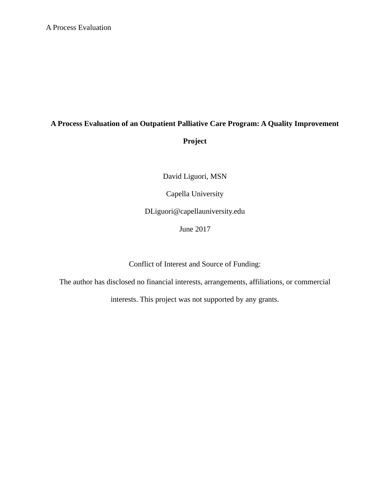# **A Process Evaluation of an Outpatient Palliative Care Program: A Quality Improvement Project**

David Liguori, MSN

Capella University

DLiguori@capellauniversity.edu

June 2017

Conflict of Interest and Source of Funding:

The author has disclosed no financial interests, arrangements, affiliations, or commercial

interests. This project was not supported by any grants.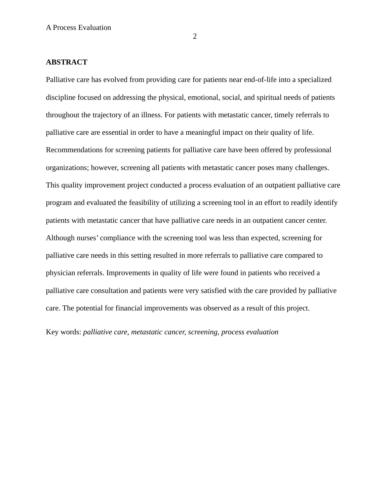2

## **ABSTRACT**

Palliative care has evolved from providing care for patients near end-of-life into a specialized discipline focused on addressing the physical, emotional, social, and spiritual needs of patients throughout the trajectory of an illness. For patients with metastatic cancer, timely referrals to palliative care are essential in order to have a meaningful impact on their quality of life. Recommendations for screening patients for palliative care have been offered by professional organizations; however, screening all patients with metastatic cancer poses many challenges. This quality improvement project conducted a process evaluation of an outpatient palliative care program and evaluated the feasibility of utilizing a screening tool in an effort to readily identify patients with metastatic cancer that have palliative care needs in an outpatient cancer center. Although nurses' compliance with the screening tool was less than expected, screening for palliative care needs in this setting resulted in more referrals to palliative care compared to physician referrals. Improvements in quality of life were found in patients who received a palliative care consultation and patients were very satisfied with the care provided by palliative care. The potential for financial improvements was observed as a result of this project.

Key words: *palliative care, metastatic cancer, screening, process evaluation*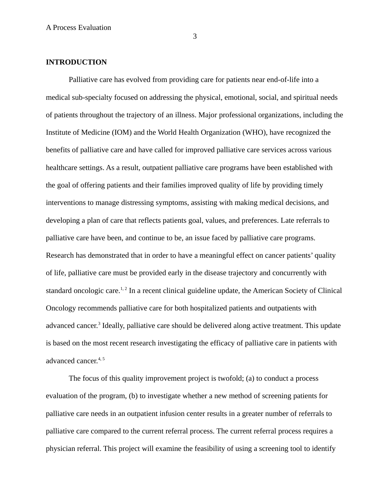3

### **INTRODUCTION**

Palliative care has evolved from providing care for patients near end-of-life into a medical sub-specialty focused on addressing the physical, emotional, social, and spiritual needs of patients throughout the trajectory of an illness. Major professional organizations, including the Institute of Medicine (IOM) and the World Health Organization (WHO), have recognized the benefits of palliative care and have called for improved palliative care services across various healthcare settings. As a result, outpatient palliative care programs have been established with the goal of offering patients and their families improved quality of life by providing timely interventions to manage distressing symptoms, assisting with making medical decisions, and developing a plan of care that reflects patients goal, values, and preferences. Late referrals to palliative care have been, and continue to be, an issue faced by palliative care programs. Research has demonstrated that in order to have a meaningful effect on cancer patients' quality of life, palliative care must be provided early in the disease trajectory and concurrently with standard oncologic care.<sup>1, 2</sup> In a recent clinical guideline update, the American Society of Clinical Oncology recommends palliative care for both hospitalized patients and outpatients with advanced cancer.<sup>3</sup> Ideally, palliative care should be delivered along active treatment. This update is based on the most recent research investigating the efficacy of palliative care in patients with advanced cancer.<sup>4, 5</sup>

The focus of this quality improvement project is twofold; (a) to conduct a process evaluation of the program, (b) to investigate whether a new method of screening patients for palliative care needs in an outpatient infusion center results in a greater number of referrals to palliative care compared to the current referral process. The current referral process requires a physician referral. This project will examine the feasibility of using a screening tool to identify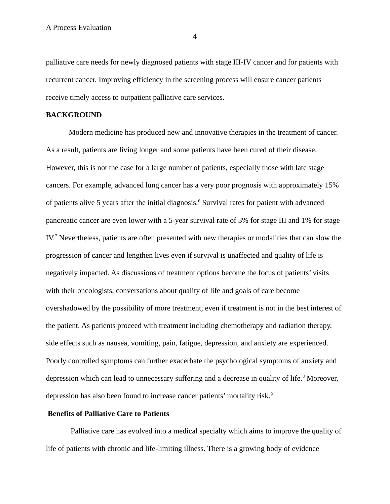palliative care needs for newly diagnosed patients with stage III-IV cancer and for patients with recurrent cancer. Improving efficiency in the screening process will ensure cancer patients receive timely access to outpatient palliative care services.

#### **BACKGROUND**

Modern medicine has produced new and innovative therapies in the treatment of cancer. As a result, patients are living longer and some patients have been cured of their disease. However, this is not the case for a large number of patients, especially those with late stage cancers. For example, advanced lung cancer has a very poor prognosis with approximately 15% of patients alive 5 years after the initial diagnosis.<sup>6</sup> Survival rates for patient with advanced pancreatic cancer are even lower with a 5-year survival rate of 3% for stage III and 1% for stage IV.<sup>7</sup> Nevertheless, patients are often presented with new therapies or modalities that can slow the progression of cancer and lengthen lives even if survival is unaffected and quality of life is negatively impacted. As discussions of treatment options become the focus of patients' visits with their oncologists, conversations about quality of life and goals of care become overshadowed by the possibility of more treatment, even if treatment is not in the best interest of the patient. As patients proceed with treatment including chemotherapy and radiation therapy, side effects such as nausea, vomiting, pain, fatigue, depression, and anxiety are experienced. Poorly controlled symptoms can further exacerbate the psychological symptoms of anxiety and depression which can lead to unnecessary suffering and a decrease in quality of life.<sup>8</sup> Moreover, depression has also been found to increase cancer patients' mortality risk.<sup>9</sup>

## **Benefits of Palliative Care to Patients**

 Palliative care has evolved into a medical specialty which aims to improve the quality of life of patients with chronic and life-limiting illness. There is a growing body of evidence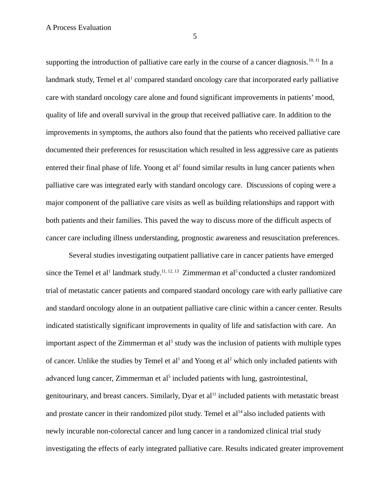supporting the introduction of palliative care early in the course of a cancer diagnosis.<sup>10, 11</sup> In a landmark study, Temel et al<sup>1</sup> compared standard oncology care that incorporated early palliative care with standard oncology care alone and found significant improvements in patients' mood, quality of life and overall survival in the group that received palliative care. In addition to the improvements in symptoms, the authors also found that the patients who received palliative care documented their preferences for resuscitation which resulted in less aggressive care as patients entered their final phase of life. Yoong et al<sup>2</sup> found similar results in lung cancer patients when palliative care was integrated early with standard oncology care. Discussions of coping were a major component of the palliative care visits as well as building relationships and rapport with both patients and their families. This paved the way to discuss more of the difficult aspects of cancer care including illness understanding, prognostic awareness and resuscitation preferences.

Several studies investigating outpatient palliative care in cancer patients have emerged since the Temel et al<sup>1</sup> landmark study.<sup>11, 12, 13</sup> Zimmerman et al<sup>5</sup> conducted a cluster randomized trial of metastatic cancer patients and compared standard oncology care with early palliative care and standard oncology alone in an outpatient palliative care clinic within a cancer center. Results indicated statistically significant improvements in quality of life and satisfaction with care. An important aspect of the Zimmerman et al<sup>5</sup> study was the inclusion of patients with multiple types of cancer. Unlike the studies by Temel et  $al<sup>1</sup>$  and Yoong et  $al<sup>2</sup>$  which only included patients with advanced lung cancer, Zimmerman et al<sup>5</sup> included patients with lung, gastrointestinal, genitourinary, and breast cancers. Similarly, Dyar et  $al<sup>11</sup>$  included patients with metastatic breast and prostate cancer in their randomized pilot study. Temel et  $al<sup>14</sup>$  also included patients with newly incurable non-colorectal cancer and lung cancer in a randomized clinical trial study investigating the effects of early integrated palliative care. Results indicated greater improvement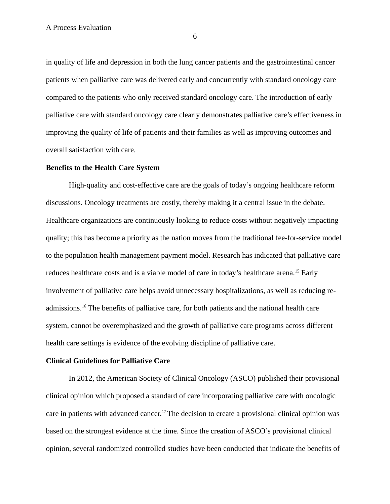in quality of life and depression in both the lung cancer patients and the gastrointestinal cancer patients when palliative care was delivered early and concurrently with standard oncology care compared to the patients who only received standard oncology care. The introduction of early palliative care with standard oncology care clearly demonstrates palliative care's effectiveness in improving the quality of life of patients and their families as well as improving outcomes and overall satisfaction with care.

#### **Benefits to the Health Care System**

High-quality and cost-effective care are the goals of today's ongoing healthcare reform discussions. Oncology treatments are costly, thereby making it a central issue in the debate. Healthcare organizations are continuously looking to reduce costs without negatively impacting quality; this has become a priority as the nation moves from the traditional fee-for-service model to the population health management payment model. Research has indicated that palliative care reduces healthcare costs and is a viable model of care in today's healthcare arena.<sup>15</sup> Early involvement of palliative care helps avoid unnecessary hospitalizations, as well as reducing readmissions.<sup>16</sup> The benefits of palliative care, for both patients and the national health care system, cannot be overemphasized and the growth of palliative care programs across different health care settings is evidence of the evolving discipline of palliative care.

## **Clinical Guidelines for Palliative Care**

In 2012, the American Society of Clinical Oncology (ASCO) published their provisional clinical opinion which proposed a standard of care incorporating palliative care with oncologic care in patients with advanced cancer.<sup>17</sup>The decision to create a provisional clinical opinion was based on the strongest evidence at the time. Since the creation of ASCO's provisional clinical opinion, several randomized controlled studies have been conducted that indicate the benefits of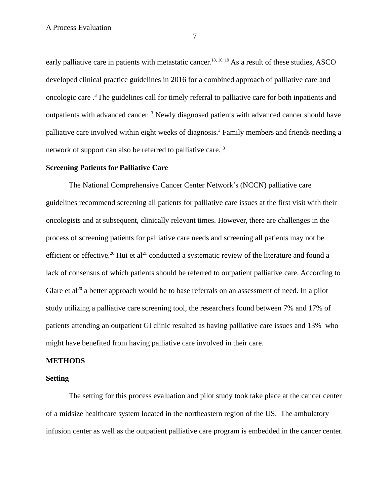early palliative care in patients with metastatic cancer.<sup>18, 10, 19</sup> As a result of these studies, ASCO developed clinical practice guidelines in 2016 for a combined approach of palliative care and oncologic care .<sup>3</sup>The guidelines call for timely referral to palliative care for both inpatients and outpatients with advanced cancer.<sup>3</sup> Newly diagnosed patients with advanced cancer should have palliative care involved within eight weeks of diagnosis.<sup>3</sup> Family members and friends needing a network of support can also be referred to palliative care. <sup>3</sup>

#### **Screening Patients for Palliative Care**

The National Comprehensive Cancer Center Network's (NCCN) palliative care guidelines recommend screening all patients for palliative care issues at the first visit with their oncologists and at subsequent, clinically relevant times. However, there are challenges in the process of screening patients for palliative care needs and screening all patients may not be efficient or effective.<sup>20</sup> Hui et al<sup>21</sup> conducted a systematic review of the literature and found a lack of consensus of which patients should be referred to outpatient palliative care. According to Glare et al<sup>20</sup> a better approach would be to base referrals on an assessment of need. In a pilot study utilizing a palliative care screening tool, the researchers found between 7% and 17% of patients attending an outpatient GI clinic resulted as having palliative care issues and 13% who might have benefited from having palliative care involved in their care.

## **METHODS**

### **Setting**

The setting for this process evaluation and pilot study took take place at the cancer center of a midsize healthcare system located in the northeastern region of the US. The ambulatory infusion center as well as the outpatient palliative care program is embedded in the cancer center.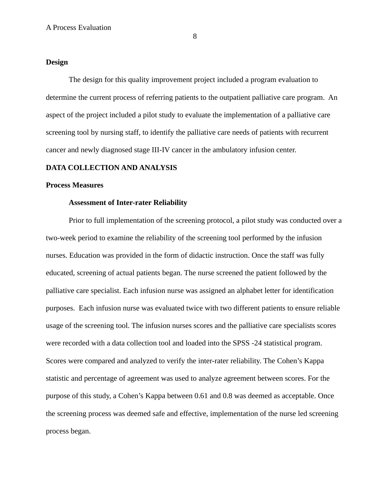#### 8

#### **Design**

The design for this quality improvement project included a program evaluation to determine the current process of referring patients to the outpatient palliative care program. An aspect of the project included a pilot study to evaluate the implementation of a palliative care screening tool by nursing staff, to identify the palliative care needs of patients with recurrent cancer and newly diagnosed stage III-IV cancer in the ambulatory infusion center.

#### **DATA COLLECTION AND ANALYSIS**

#### **Process Measures**

#### **Assessment of Inter-rater Reliability**

Prior to full implementation of the screening protocol, a pilot study was conducted over a two-week period to examine the reliability of the screening tool performed by the infusion nurses. Education was provided in the form of didactic instruction. Once the staff was fully educated, screening of actual patients began. The nurse screened the patient followed by the palliative care specialist. Each infusion nurse was assigned an alphabet letter for identification purposes. Each infusion nurse was evaluated twice with two different patients to ensure reliable usage of the screening tool. The infusion nurses scores and the palliative care specialists scores were recorded with a data collection tool and loaded into the SPSS -24 statistical program. Scores were compared and analyzed to verify the inter-rater reliability. The Cohen's Kappa statistic and percentage of agreement was used to analyze agreement between scores. For the purpose of this study, a Cohen's Kappa between 0.61 and 0.8 was deemed as acceptable. Once the screening process was deemed safe and effective, implementation of the nurse led screening process began.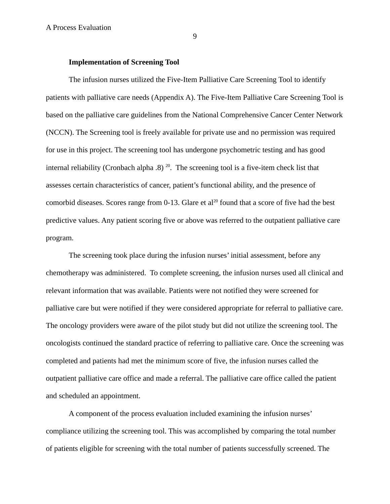#### **Implementation of Screening Tool**

The infusion nurses utilized the Five-Item Palliative Care Screening Tool to identify patients with palliative care needs (Appendix A). The Five-Item Palliative Care Screening Tool is based on the palliative care guidelines from the National Comprehensive Cancer Center Network (NCCN). The Screening tool is freely available for private use and no permission was required for use in this project. The screening tool has undergone psychometric testing and has good internal reliability (Cronbach alpha .8)<sup>20</sup>. The screening tool is a five-item check list that assesses certain characteristics of cancer, patient's functional ability, and the presence of comorbid diseases. Scores range from 0-13. Glare et al<sup>20</sup> found that a score of five had the best predictive values. Any patient scoring five or above was referred to the outpatient palliative care program.

The screening took place during the infusion nurses' initial assessment, before any chemotherapy was administered. To complete screening, the infusion nurses used all clinical and relevant information that was available. Patients were not notified they were screened for palliative care but were notified if they were considered appropriate for referral to palliative care. The oncology providers were aware of the pilot study but did not utilize the screening tool. The oncologists continued the standard practice of referring to palliative care. Once the screening was completed and patients had met the minimum score of five, the infusion nurses called the outpatient palliative care office and made a referral. The palliative care office called the patient and scheduled an appointment.

A component of the process evaluation included examining the infusion nurses' compliance utilizing the screening tool. This was accomplished by comparing the total number of patients eligible for screening with the total number of patients successfully screened. The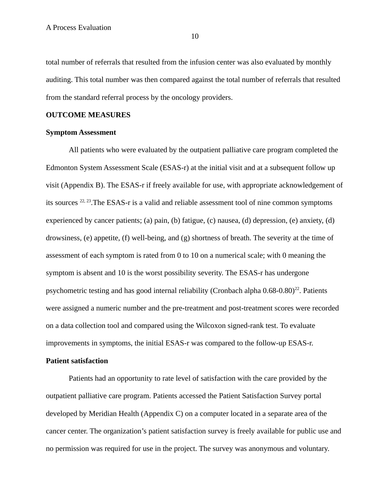total number of referrals that resulted from the infusion center was also evaluated by monthly auditing. This total number was then compared against the total number of referrals that resulted from the standard referral process by the oncology providers.

#### **OUTCOME MEASURES**

#### **Symptom Assessment**

All patients who were evaluated by the outpatient palliative care program completed the Edmonton System Assessment Scale (ESAS-r) at the initial visit and at a subsequent follow up visit (Appendix B). The ESAS-r if freely available for use, with appropriate acknowledgement of its sources <sup>22, 23</sup>. The ESAS-r is a valid and reliable assessment tool of nine common symptoms experienced by cancer patients; (a) pain, (b) fatigue, (c) nausea, (d) depression, (e) anxiety, (d) drowsiness, (e) appetite, (f) well-being, and (g) shortness of breath. The severity at the time of assessment of each symptom is rated from 0 to 10 on a numerical scale; with 0 meaning the symptom is absent and 10 is the worst possibility severity. The ESAS-r has undergone psychometric testing and has good internal reliability (Cronbach alpha  $0.68-0.80$ )<sup>22</sup>. Patients were assigned a numeric number and the pre-treatment and post-treatment scores were recorded on a data collection tool and compared using the Wilcoxon signed-rank test. To evaluate improvements in symptoms, the initial ESAS-r was compared to the follow-up ESAS-r.

## **Patient satisfaction**

Patients had an opportunity to rate level of satisfaction with the care provided by the outpatient palliative care program. Patients accessed the Patient Satisfaction Survey portal developed by Meridian Health (Appendix C) on a computer located in a separate area of the cancer center. The organization's patient satisfaction survey is freely available for public use and no permission was required for use in the project. The survey was anonymous and voluntary.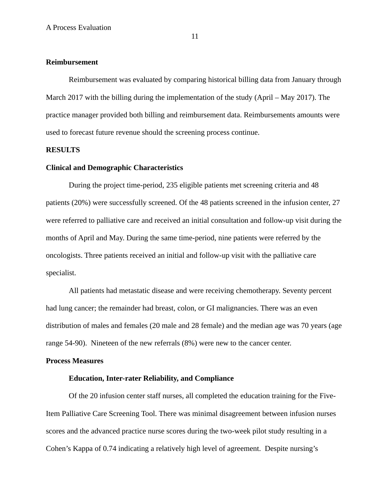#### **Reimbursement**

Reimbursement was evaluated by comparing historical billing data from January through March 2017 with the billing during the implementation of the study (April – May 2017). The practice manager provided both billing and reimbursement data. Reimbursements amounts were used to forecast future revenue should the screening process continue.

#### **RESULTS**

## **Clinical and Demographic Characteristics**

During the project time-period, 235 eligible patients met screening criteria and 48 patients (20%) were successfully screened. Of the 48 patients screened in the infusion center, 27 were referred to palliative care and received an initial consultation and follow-up visit during the months of April and May. During the same time-period, nine patients were referred by the oncologists. Three patients received an initial and follow-up visit with the palliative care specialist.

All patients had metastatic disease and were receiving chemotherapy. Seventy percent had lung cancer; the remainder had breast, colon, or GI malignancies. There was an even distribution of males and females (20 male and 28 female) and the median age was 70 years (age range 54-90). Nineteen of the new referrals (8%) were new to the cancer center.

## **Process Measures**

#### **Education, Inter-rater Reliability, and Compliance**

Of the 20 infusion center staff nurses, all completed the education training for the Five-Item Palliative Care Screening Tool. There was minimal disagreement between infusion nurses scores and the advanced practice nurse scores during the two-week pilot study resulting in a Cohen's Kappa of 0.74 indicating a relatively high level of agreement. Despite nursing's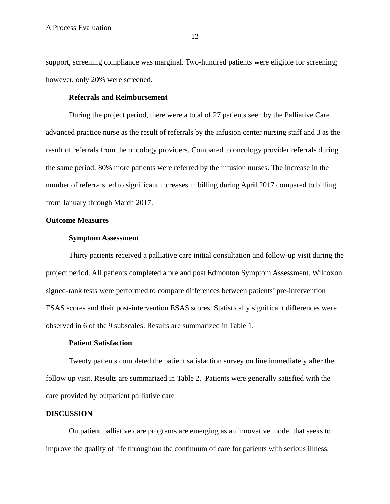support, screening compliance was marginal. Two-hundred patients were eligible for screening; however, only 20% were screened.

#### **Referrals and Reimbursement**

During the project period, there were a total of 27 patients seen by the Palliative Care advanced practice nurse as the result of referrals by the infusion center nursing staff and 3 as the result of referrals from the oncology providers. Compared to oncology provider referrals during the same period, 80% more patients were referred by the infusion nurses. The increase in the number of referrals led to significant increases in billing during April 2017 compared to billing from January through March 2017.

#### **Outcome Measures**

#### **Symptom Assessment**

Thirty patients received a palliative care initial consultation and follow-up visit during the project period. All patients completed a pre and post Edmonton Symptom Assessment. Wilcoxon signed-rank tests were performed to compare differences between patients' pre-intervention ESAS scores and their post-intervention ESAS scores. Statistically significant differences were observed in 6 of the 9 subscales. Results are summarized in Table 1.

#### **Patient Satisfaction**

Twenty patients completed the patient satisfaction survey on line immediately after the follow up visit. Results are summarized in Table 2. Patients were generally satisfied with the care provided by outpatient palliative care

#### **DISCUSSION**

Outpatient palliative care programs are emerging as an innovative model that seeks to improve the quality of life throughout the continuum of care for patients with serious illness.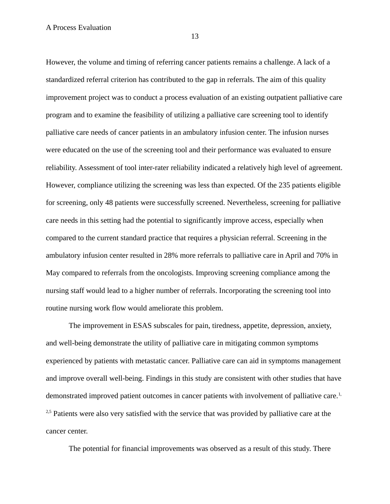However, the volume and timing of referring cancer patients remains a challenge. A lack of a standardized referral criterion has contributed to the gap in referrals. The aim of this quality improvement project was to conduct a process evaluation of an existing outpatient palliative care program and to examine the feasibility of utilizing a palliative care screening tool to identify palliative care needs of cancer patients in an ambulatory infusion center. The infusion nurses were educated on the use of the screening tool and their performance was evaluated to ensure reliability. Assessment of tool inter-rater reliability indicated a relatively high level of agreement. However, compliance utilizing the screening was less than expected. Of the 235 patients eligible for screening, only 48 patients were successfully screened. Nevertheless, screening for palliative care needs in this setting had the potential to significantly improve access, especially when compared to the current standard practice that requires a physician referral. Screening in the ambulatory infusion center resulted in 28% more referrals to palliative care in April and 70% in May compared to referrals from the oncologists. Improving screening compliance among the nursing staff would lead to a higher number of referrals. Incorporating the screening tool into routine nursing work flow would ameliorate this problem.

The improvement in ESAS subscales for pain, tiredness, appetite, depression, anxiety, and well-being demonstrate the utility of palliative care in mitigating common symptoms experienced by patients with metastatic cancer. Palliative care can aid in symptoms management and improve overall well-being. Findings in this study are consistent with other studies that have demonstrated improved patient outcomes in cancer patients with involvement of palliative care.<sup>1,</sup> <sup>2,5</sup> Patients were also very satisfied with the service that was provided by palliative care at the cancer center.

The potential for financial improvements was observed as a result of this study. There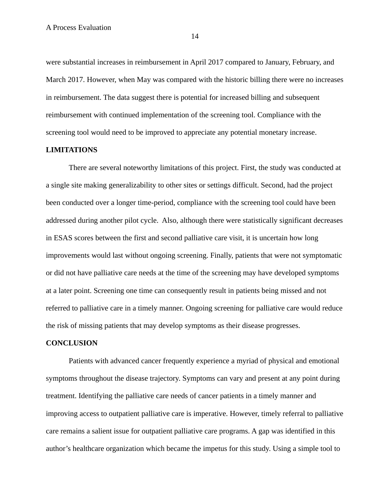were substantial increases in reimbursement in April 2017 compared to January, February, and March 2017. However, when May was compared with the historic billing there were no increases in reimbursement. The data suggest there is potential for increased billing and subsequent reimbursement with continued implementation of the screening tool. Compliance with the screening tool would need to be improved to appreciate any potential monetary increase.

#### **LIMITATIONS**

There are several noteworthy limitations of this project. First, the study was conducted at a single site making generalizability to other sites or settings difficult. Second, had the project been conducted over a longer time-period, compliance with the screening tool could have been addressed during another pilot cycle. Also, although there were statistically significant decreases in ESAS scores between the first and second palliative care visit, it is uncertain how long improvements would last without ongoing screening. Finally, patients that were not symptomatic or did not have palliative care needs at the time of the screening may have developed symptoms at a later point. Screening one time can consequently result in patients being missed and not referred to palliative care in a timely manner. Ongoing screening for palliative care would reduce the risk of missing patients that may develop symptoms as their disease progresses.

#### **CONCLUSION**

Patients with advanced cancer frequently experience a myriad of physical and emotional symptoms throughout the disease trajectory. Symptoms can vary and present at any point during treatment. Identifying the palliative care needs of cancer patients in a timely manner and improving access to outpatient palliative care is imperative. However, timely referral to palliative care remains a salient issue for outpatient palliative care programs. A gap was identified in this author's healthcare organization which became the impetus for this study. Using a simple tool to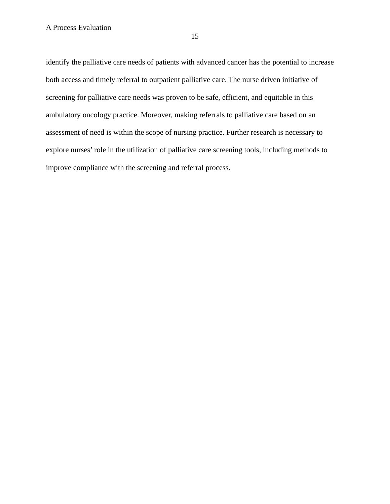identify the palliative care needs of patients with advanced cancer has the potential to increase both access and timely referral to outpatient palliative care. The nurse driven initiative of screening for palliative care needs was proven to be safe, efficient, and equitable in this ambulatory oncology practice. Moreover, making referrals to palliative care based on an assessment of need is within the scope of nursing practice. Further research is necessary to explore nurses' role in the utilization of palliative care screening tools, including methods to improve compliance with the screening and referral process.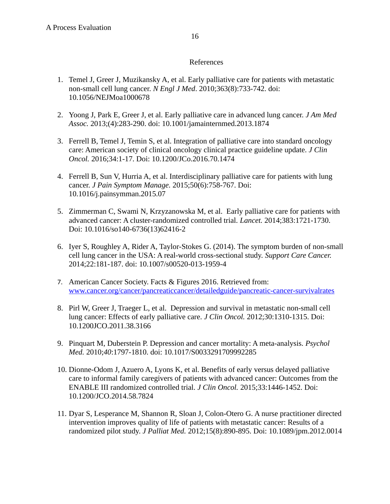## References

- 1. Temel J, Greer J, Muzikansky A, et al. Early palliative care for patients with metastatic non-small cell lung cancer. *N Engl J Med*. 2010;363(8):733-742. doi: 10.1056/NEJMoa1000678
- 2. Yoong J, Park E, Greer J, et al. Early palliative care in advanced lung cancer. *J Am Med Assoc.* 2013;(4):283-290. doi: 10.1001/jamainternmed.2013.1874
- 3. Ferrell B, Temel J, Temin S, et al. Integration of palliative care into standard oncology care: American society of clinical oncology clinical practice guideline update. *J Clin Oncol.* 2016;34:1-17. Doi: 10.1200/JCo.2016.70.1474
- 4. Ferrell B, Sun V, Hurria A, et al. Interdisciplinary palliative care for patients with lung cancer. *J Pain Symptom Manage.* 2015;50(6):758-767. Doi: 10.1016/j.painsymman.2015.07
- 5. Zimmerman C, Swami N, Krzyzanowska M, et al. Early palliative care for patients with advanced cancer: A cluster-randomized controlled trial. *Lancet.* 2014;383:1721-1730. Doi: 10.1016/so140-6736(13)62416-2
- 6. Iyer S, Roughley A, Rider A, Taylor-Stokes G. (2014). The symptom burden of non-small cell lung cancer in the USA: A real-world cross-sectional study. *Support Care Cancer.*  2014;22:181-187. doi: 10.1007/s00520-013-1959-4
- 7. American Cancer Society. Facts & Figures 2016. Retrieved from: [www.cancer.org/cancer/pancreaticcancer/detailedguide/pancreatic-cancer-survivalrates](http://www.cancer.org/cancer/pancreaticcancer/detailedguide/pancreatic-cancer-survivalrates)
- 8. Pirl W, Greer J, Traeger L, et al. Depression and survival in metastatic non-small cell lung cancer: Effects of early palliative care. *J Clin Oncol.* 2012;30:1310-1315. Doi: 10.1200JCO.2011.38.3166
- 9. Pinquart M, Duberstein P. Depression and cancer mortality: A meta-analysis. *Psychol Med.* 2010;*40*:1797-1810. doi: 10.1017/S0033291709992285
- 10. Dionne-Odom J, Azuero A, Lyons K, et al. Benefits of early versus delayed palliative care to informal family caregivers of patients with advanced cancer: Outcomes from the ENABLE III randomized controlled trial. *J Clin Oncol.* 2015;33:1446-1452. Doi: 10.1200/JCO.2014.58.7824
- 11. Dyar S, Lesperance M, Shannon R, Sloan J, Colon-Otero G. A nurse practitioner directed intervention improves quality of life of patients with metastatic cancer: Results of a randomized pilot study. *J Palliat Med.* 2012;15(8):890-895. Doi: 10.1089/jpm.2012.0014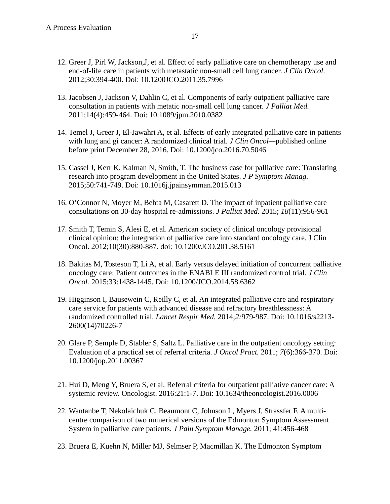- 12. Greer J, Pirl W, Jackson,J, et al. Effect of early palliative care on chemotherapy use and end-of-life care in patients with metastatic non-small cell lung cancer. *J Clin Oncol*. 2012;30:394-400. Doi: 10.1200JCO.2011.35.7996
- 13. Jacobsen J, Jackson V, Dahlin C, et al. Components of early outpatient palliative care consultation in patients with metatic non-small cell lung cancer. *J Palliat Med.*  2011;14(4):459-464. Doi: 10.1089/jpm.2010.0382
- 14. Temel J, Greer J, El-Jawahri A, et al. Effects of early integrated palliative care in patients with lung and gi cancer: A randomized clinical trial. *J Clin Oncol—*published online before print December 28, 2016. Doi: 10.1200/jco.2016.70.5046
- 15. Cassel J, Kerr K, Kalman N, Smith, T. The business case for palliative care: Translating research into program development in the United States. *J P Symptom Manag.*  2015;50:741-749. Doi: 10.1016j.jpainsymman.2015.013
- 16. O'Connor N, Moyer M, Behta M, Casarett D. The impact of inpatient palliative care consultations on 30-day hospital re-admissions. *J Palliat Med.* 2015; *18*(11):956-961
- 17. Smith T, Temin S, Alesi E, et al. American society of clinical oncology provisional clinical opinion: the integration of palliative care into standard oncology care. J Clin Oncol. 2012;10(30):880-887. doi: 10.1200/JCO.201.38.5161
- 18. Bakitas M, Tosteson T, Li A, et al. Early versus delayed initiation of concurrent palliative oncology care: Patient outcomes in the ENABLE III randomized control trial. *J Clin Oncol.* 2015;33:1438-1445. Doi: 10.1200/JCO.2014.58.6362
- 19. Higginson I, Bausewein C, Reilly C, et al. An integrated palliative care and respiratory care service for patients with advanced disease and refractory breathlessness: A randomized controlled trial. *Lancet Respir Med.* 2014;*2:*979-987. Doi: 10.1016/s2213- 2600(14)70226-7
- 20. Glare P, Semple D, Stabler S, Saltz L. Palliative care in the outpatient oncology setting: Evaluation of a practical set of referral criteria. *J Oncol Pract.* 2011; *7*(6):366-370. Doi: 10.1200/jop.2011.00367
- 21. Hui D, Meng Y, Bruera S, et al. Referral criteria for outpatient palliative cancer care: A systemic review. Oncologist. 2016:21:1-7. Doi: 10.1634/theoncologist.2016.0006
- 22. Wantanbe T, Nekolaichuk C, Beaumont C, Johnson L, Myers J, Strassfer F. A multicentre comparison of two numerical versions of the Edmonton Symptom Assessment System in palliative care patients. *J Pain Symptom Manage.* 2011; 41:456-468
- 23. Bruera E, Kuehn N, Miller MJ, Selmser P, Macmillan K. The Edmonton Symptom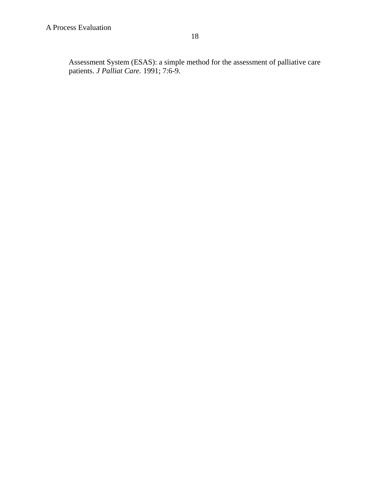Assessment System (ESAS): a simple method for the assessment of palliative care patients. *J Palliat Care.* 1991; 7:6-9.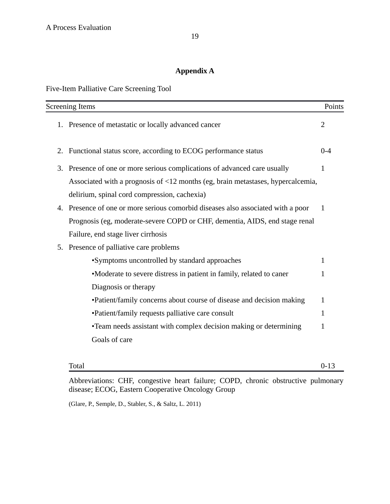## **Appendix A**

Five-Item Palliative Care Screening Tool

| <b>Screening Items</b>                                                              | Points       |
|-------------------------------------------------------------------------------------|--------------|
| 1. Presence of metastatic or locally advanced cancer                                | 2            |
| 2. Functional status score, according to ECOG performance status                    | $0 - 4$      |
| Presence of one or more serious complications of advanced care usually<br>3.        | 1            |
| Associated with a prognosis of <12 months (eg, brain metastases, hypercalcemia,     |              |
| delirium, spinal cord compression, cachexia)                                        |              |
| Presence of one or more serious comorbid diseases also associated with a poor<br>4. | $\mathbf{1}$ |
| Prognosis (eg, moderate-severe COPD or CHF, dementia, AIDS, end stage renal         |              |
| Failure, end stage liver cirrhosis                                                  |              |
| Presence of palliative care problems<br>5.                                          |              |
| •Symptoms uncontrolled by standard approaches                                       | $\mathbf{1}$ |
| •Moderate to severe distress in patient in family, related to caner                 | $\mathbf{1}$ |
| Diagnosis or therapy                                                                |              |
| •Patient/family concerns about course of disease and decision making                | $\mathbf{1}$ |
| •Patient/family requests palliative care consult                                    | $\mathbf{1}$ |
| •Team needs assistant with complex decision making or determining                   | $\mathbf{1}$ |
| Goals of care                                                                       |              |
|                                                                                     |              |

Total 0-13

Abbreviations: CHF, congestive heart failure; COPD, chronic obstructive pulmonary disease; ECOG, Eastern Cooperative Oncology Group

(Glare, P., Semple, D., Stabler, S., & Saltz, L. 2011)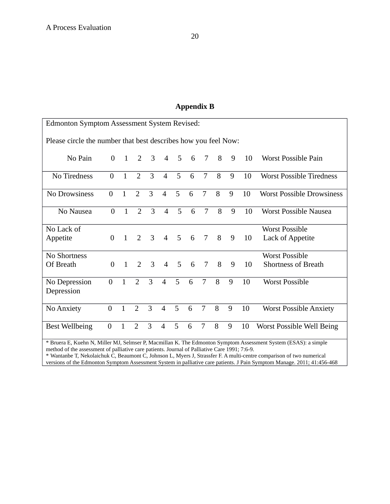## **Appendix B**

| <b>Edmonton Symptom Assessment System Revised:</b>                                                                                                                                                                                                                                                                                                                                                                                                                  |                  |              |                |   |                |   |   |                |   |   |    |                                  |
|---------------------------------------------------------------------------------------------------------------------------------------------------------------------------------------------------------------------------------------------------------------------------------------------------------------------------------------------------------------------------------------------------------------------------------------------------------------------|------------------|--------------|----------------|---|----------------|---|---|----------------|---|---|----|----------------------------------|
| Please circle the number that best describes how you feel Now:                                                                                                                                                                                                                                                                                                                                                                                                      |                  |              |                |   |                |   |   |                |   |   |    |                                  |
| No Pain                                                                                                                                                                                                                                                                                                                                                                                                                                                             | $\boldsymbol{0}$ | $\mathbf{1}$ | $\overline{2}$ | 3 | $\overline{4}$ | 5 | 6 | 7              | 8 | 9 | 10 | <b>Worst Possible Pain</b>       |
| No Tiredness                                                                                                                                                                                                                                                                                                                                                                                                                                                        | $\overline{0}$   | $\mathbf{1}$ | 2              | 3 | $\overline{4}$ | 5 | 6 | 7              | 8 | 9 | 10 | <b>Worst Possible Tiredness</b>  |
| No Drowsiness                                                                                                                                                                                                                                                                                                                                                                                                                                                       | $\overline{0}$   | $\mathbf{1}$ | $\overline{2}$ | 3 | $\overline{4}$ | 5 | 6 | $\overline{7}$ | 8 | 9 | 10 | <b>Worst Possible Drowsiness</b> |
| No Nausea                                                                                                                                                                                                                                                                                                                                                                                                                                                           | $\overline{0}$   | $\mathbf{1}$ | $\overline{2}$ | 3 | $\overline{4}$ | 5 | 6 | $\overline{7}$ | 8 | 9 | 10 | <b>Worst Possible Nausea</b>     |
| No Lack of                                                                                                                                                                                                                                                                                                                                                                                                                                                          |                  |              |                |   |                |   |   |                |   |   |    | <b>Worst Possible</b>            |
| Appetite                                                                                                                                                                                                                                                                                                                                                                                                                                                            | $\theta$         | 1            | 2              | 3 | $\overline{4}$ | 5 | 6 | 7              | 8 | 9 | 10 | Lack of Appetite                 |
| No Shortness                                                                                                                                                                                                                                                                                                                                                                                                                                                        |                  |              |                |   |                |   |   |                |   |   |    | <b>Worst Possible</b>            |
| Of Breath                                                                                                                                                                                                                                                                                                                                                                                                                                                           | $\overline{0}$   | $\mathbf{1}$ | $\overline{2}$ | 3 | $\overline{4}$ | 5 | 6 | 7              | 8 | 9 | 10 | <b>Shortness of Breath</b>       |
| No Depression<br>Depression                                                                                                                                                                                                                                                                                                                                                                                                                                         | $\overline{0}$   | $\mathbf{1}$ | $\overline{2}$ | 3 | $\overline{4}$ | 5 | 6 | $\overline{7}$ | 8 | 9 | 10 | <b>Worst Possible</b>            |
| No Anxiety                                                                                                                                                                                                                                                                                                                                                                                                                                                          | $\mathbf{0}$     | $\mathbf{1}$ | $\overline{2}$ | 3 | $\overline{4}$ | 5 | 6 | $\overline{7}$ | 8 | 9 | 10 | <b>Worst Possible Anxiety</b>    |
| <b>Best Wellbeing</b>                                                                                                                                                                                                                                                                                                                                                                                                                                               | $\boldsymbol{0}$ | $\mathbf{1}$ | $\overline{2}$ | 3 | $\overline{4}$ | 5 | 6 | 7              | 8 | 9 | 10 | <b>Worst Possible Well Being</b> |
| * Bruera E, Kuehn N, Miller MJ, Selmser P, Macmillan K. The Edmonton Symptom Assessment System (ESAS): a simple<br>method of the assessment of palliative care patients. Journal of Palliative Care 1991; 7:6-9.<br>* Wantanbe T, Nekolaichuk C, Beaumont C, Johnson L, Myers J, Strassfer F. A multi-centre comparison of two numerical<br>versions of the Edmonton Symptom Assessment System in palliative care patients. J Pain Symptom Manage. 2011: 41:456-468 |                  |              |                |   |                |   |   |                |   |   |    |                                  |

versions of the Edmonton Symptom Assessment System in palliative care patients. J Pain Symptom Manage. 2011; 41:456-468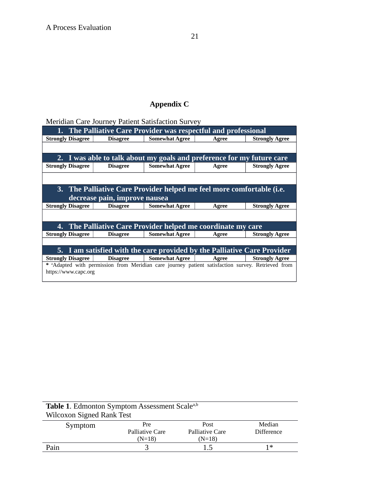## **Appendix C**

Meridian Care Journey Patient Satisfaction Survey

| 1. The Palliative Care Provider was respectful and professional                                               |                                                                       |                                                                        |       |                       |  |  |  |  |
|---------------------------------------------------------------------------------------------------------------|-----------------------------------------------------------------------|------------------------------------------------------------------------|-------|-----------------------|--|--|--|--|
| <b>Strongly Disagree</b>                                                                                      | <b>Disagree</b>                                                       | <b>Somewhat Agree</b>                                                  | Agree | <b>Strongly Agree</b> |  |  |  |  |
|                                                                                                               |                                                                       |                                                                        |       |                       |  |  |  |  |
|                                                                                                               |                                                                       | 2. I was able to talk about my goals and preference for my future care |       |                       |  |  |  |  |
| <b>Strongly Disagree</b>                                                                                      | <b>Disagree</b>                                                       | <b>Somewhat Agree</b>                                                  | Agree | <b>Strongly Agree</b> |  |  |  |  |
|                                                                                                               |                                                                       |                                                                        |       |                       |  |  |  |  |
|                                                                                                               | 3. The Palliative Care Provider helped me feel more comfortable (i.e. |                                                                        |       |                       |  |  |  |  |
|                                                                                                               | decrease pain, improve nausea                                         |                                                                        |       |                       |  |  |  |  |
| <b>Strongly Disagree</b>                                                                                      | <b>Disagree</b>                                                       | <b>Somewhat Agree</b>                                                  | Agree | <b>Strongly Agree</b> |  |  |  |  |
|                                                                                                               |                                                                       |                                                                        |       |                       |  |  |  |  |
| 4. The Palliative Care Provider helped me coordinate my care                                                  |                                                                       |                                                                        |       |                       |  |  |  |  |
| <b>Strongly Disagree</b>                                                                                      | <b>Disagree</b>                                                       | <b>Somewhat Agree</b>                                                  | Agree | <b>Strongly Agree</b> |  |  |  |  |
|                                                                                                               |                                                                       |                                                                        |       |                       |  |  |  |  |
| 5. I am satisfied with the care provided by the Palliative Care Provider                                      |                                                                       |                                                                        |       |                       |  |  |  |  |
| <b>Strongly Disagree</b>                                                                                      | <b>Disagree</b>                                                       | <b>Somewhat Agree</b>                                                  | Agree | <b>Strongly Agree</b> |  |  |  |  |
| * <sup>a</sup> Adapted with permission from Meridian care journey patient satisfaction survey. Retrieved from |                                                                       |                                                                        |       |                       |  |  |  |  |
| https://www.capc.org                                                                                          |                                                                       |                                                                        |       |                       |  |  |  |  |
|                                                                                                               |                                                                       |                                                                        |       |                       |  |  |  |  |

| <b>Table 1.</b> Edmonton Symptom Assessment Scale <sup>a,b</sup><br><b>Wilcoxon Signed Rank Test</b> |                        |                         |                             |  |  |  |
|------------------------------------------------------------------------------------------------------|------------------------|-------------------------|-----------------------------|--|--|--|
| Symptom                                                                                              | Pre<br>Palliative Care | Post<br>Palliative Care | Median<br><b>Difference</b> |  |  |  |
|                                                                                                      | $(N=18)$               | $(N=18)$                |                             |  |  |  |
| Pain                                                                                                 |                        | 1.5                     | 1*                          |  |  |  |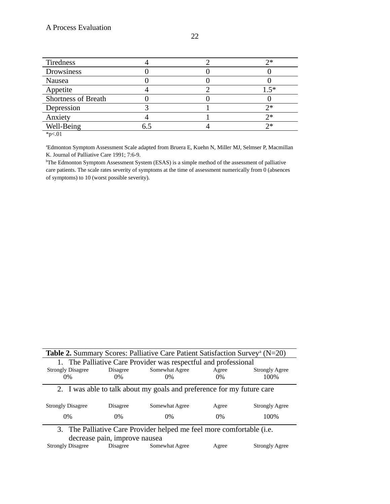| Tiredness                  |  | つ*      |
|----------------------------|--|---------|
| Drowsiness                 |  |         |
| Nausea                     |  |         |
| Appetite                   |  | $1.5^*$ |
| <b>Shortness of Breath</b> |  |         |
| Depression                 |  | フ*      |
| Anxiety                    |  | フォ      |
| Well-Being                 |  | つ*      |
| $\sim$                     |  |         |

 $*p<.01$ 

<sup>a</sup>Edmonton Symptom Assessment Scale adapted from Bruera E, Kuehn N, Miller MJ, Selmser P, Macmillan K. Journal of Palliative Care 1991; 7:6-9.

<sup>b</sup>The Edmonton Symptom Assessment System (ESAS) is a simple method of the assessment of palliative care patients. The scale rates severity of symptoms at the time of assessment numerically from 0 (absences of symptoms) to 10 (worst possible severity).

| <b>Table 2.</b> Summary Scores: Palliative Care Patient Satisfaction Survey <sup>a</sup> ( $N=20$ ) |                 |                |       |                       |  |  |  |
|-----------------------------------------------------------------------------------------------------|-----------------|----------------|-------|-----------------------|--|--|--|
| 1. The Palliative Care Provider was respectful and professional                                     |                 |                |       |                       |  |  |  |
| <b>Strongly Disagree</b>                                                                            | <b>Disagree</b> | Somewhat Agree | Agree | <b>Strongly Agree</b> |  |  |  |
| $0\%$                                                                                               | $0\%$           | $0\%$          | $0\%$ | 100%                  |  |  |  |
| 2. I was able to talk about my goals and preference for my future care                              |                 |                |       |                       |  |  |  |
| <b>Strongly Disagree</b>                                                                            | <b>Disagree</b> | Somewhat Agree | Agree | <b>Strongly Agree</b> |  |  |  |
| $0\%$                                                                                               | $0\%$           | $0\%$          | $0\%$ | 100%                  |  |  |  |
| 3. The Palliative Care Provider helped me feel more comfortable (i.e.                               |                 |                |       |                       |  |  |  |
| decrease pain, improve nausea                                                                       |                 |                |       |                       |  |  |  |
| <b>Strongly Disagree</b>                                                                            | <b>Disagree</b> | Somewhat Agree | Agree | <b>Strongly Agree</b> |  |  |  |